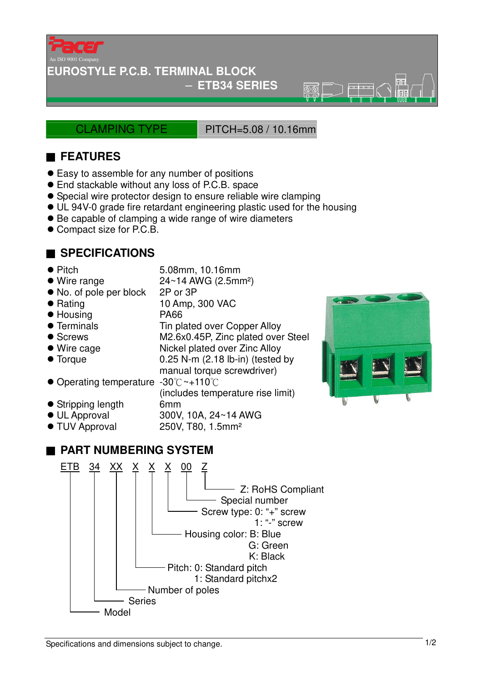

### **EUROSTYLE P.C.B. TERMINAL BLOCK**

− **ETB34 SERIES** 

CLAMPING TYPE PITCH=5.08 / 10.16mm

 $\overline{\circ}$ 

## ■ **FEATURES**

- Easy to assemble for any number of positions
- End stackable without any loss of P.C.B. space
- Special wire protector design to ensure reliable wire clamping
- UL 94V-0 grade fire retardant engineering plastic used for the housing
- Be capable of clamping a wide range of wire diameters
- Compact size for P.C.B.

## ■ **SPECIFICATIONS**

- 
- Pitch 5.08mm, 10.16mm

manual torque screwdriver)

(includes temperature rise limit)

- $\bullet$  Wire range  $24~14$  AWG (2.5mm<sup>2</sup>)
- No. of pole per block 2P or 3P
- Rating 10 Amp, 300 VAC
- Housing PA66
- Terminals Tin plated over Copper Alloy
- Screws M2.6x0.45P, Zinc plated over Steel
- Wire cage Nickel plated over Zinc Alloy
- Torque 0.25 N-m (2.18 lb-in) (tested by
- Operating temperature -30°C~+110°C
- Stripping length 6mm
- UL Approval 300V, 10A, 24~14 AWG
- TUV Approval 250V, T80, 1.5mm<sup>2</sup>

# ■ **PART NUMBERING SYSTEM**